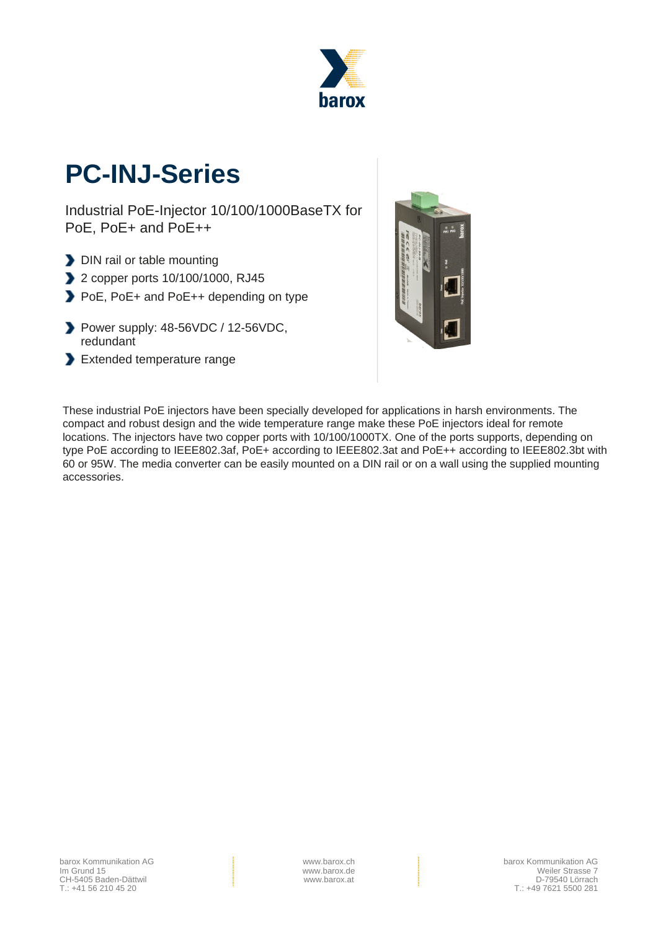

# **PC-INJ-Series**

Industrial PoE-Injector 10/100/1000BaseTX for PoE, PoE+ and PoE++

- DIN rail or table mounting
- 2 copper ports 10/100/1000, RJ45
- PoE, PoE+ and PoE++ depending on type
- Power supply: 48-56VDC / 12-56VDC, redundant
- Extended temperature range



These industrial PoE injectors have been specially developed for applications in harsh environments. The compact and robust design and the wide temperature range make these PoE injectors ideal for remote locations. The injectors have two copper ports with 10/100/1000TX. One of the ports supports, depending on type PoE according to IEEE802.3af, PoE+ according to IEEE802.3at and PoE++ according to IEEE802.3bt with 60 or 95W. The media converter can be easily mounted on a DIN rail or on a wall using the supplied mounting accessories.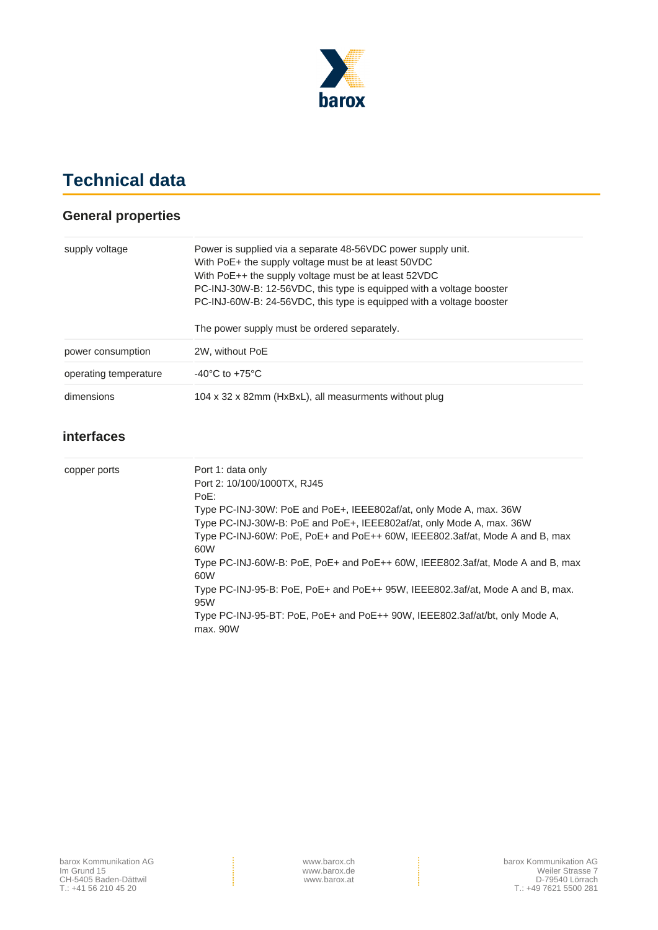

## **Technical data**

#### **General properties**

| supply voltage        | Power is supplied via a separate 48-56VDC power supply unit.<br>With PoE+ the supply voltage must be at least 50VDC<br>With PoE++ the supply voltage must be at least 52VDC<br>PC-INJ-30W-B: 12-56VDC, this type is equipped with a voltage booster<br>PC-INJ-60W-B: 24-56VDC, this type is equipped with a voltage booster |  |
|-----------------------|-----------------------------------------------------------------------------------------------------------------------------------------------------------------------------------------------------------------------------------------------------------------------------------------------------------------------------|--|
|                       | The power supply must be ordered separately.                                                                                                                                                                                                                                                                                |  |
| power consumption     | 2W, without PoE                                                                                                                                                                                                                                                                                                             |  |
| operating temperature | $-40^{\circ}$ C to $+75^{\circ}$ C                                                                                                                                                                                                                                                                                          |  |
| dimensions            | 104 x 32 x 82mm (HxBxL), all measurments without plug                                                                                                                                                                                                                                                                       |  |

#### **interfaces**

| copper ports | Port 1: data only<br>Port 2: 10/100/1000TX, RJ45<br>PoE:<br>Type PC-INJ-30W: PoE and PoE+, IEEE802af/at, only Mode A, max. 36W<br>Type PC-INJ-30W-B: PoE and PoE+, IEEE802af/at, only Mode A, max. 36W<br>Type PC-INJ-60W: PoE, PoE+ and PoE++ 60W, IEEE802.3af/at, Mode A and B, max<br>60W<br>Type PC-INJ-60W-B: PoE, PoE+ and PoE++ 60W, IEEE802.3af/at, Mode A and B, max<br>60W<br>Type PC-INJ-95-B: PoE, PoE+ and PoE++ 95W, IEEE802.3af/at, Mode A and B, max.<br>95W<br>Type PC-INJ-95-BT: PoE, PoE+ and PoE++ 90W, IEEE802.3af/at/bt, only Mode A, |
|--------------|-------------------------------------------------------------------------------------------------------------------------------------------------------------------------------------------------------------------------------------------------------------------------------------------------------------------------------------------------------------------------------------------------------------------------------------------------------------------------------------------------------------------------------------------------------------|
|              | max. 90W                                                                                                                                                                                                                                                                                                                                                                                                                                                                                                                                                    |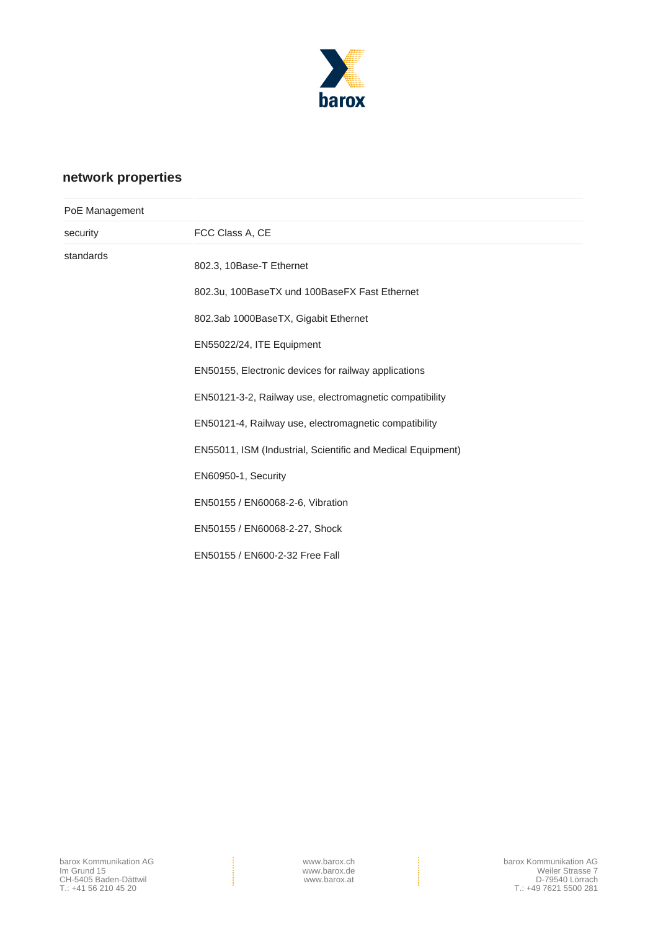

### **network properties**

| PoE Management |                                                             |  |
|----------------|-------------------------------------------------------------|--|
| security       | FCC Class A, CE                                             |  |
| standards      | 802.3, 10Base-T Ethernet                                    |  |
|                | 802.3u, 100BaseTX und 100BaseFX Fast Ethernet               |  |
|                | 802.3ab 1000BaseTX, Gigabit Ethernet                        |  |
|                | EN55022/24, ITE Equipment                                   |  |
|                | EN50155, Electronic devices for railway applications        |  |
|                | EN50121-3-2, Railway use, electromagnetic compatibility     |  |
|                | EN50121-4, Railway use, electromagnetic compatibility       |  |
|                | EN55011, ISM (Industrial, Scientific and Medical Equipment) |  |
|                | EN60950-1, Security                                         |  |
|                | EN50155 / EN60068-2-6, Vibration                            |  |
|                | EN50155 / EN60068-2-27, Shock                               |  |
|                | EN50155 / EN600-2-32 Free Fall                              |  |